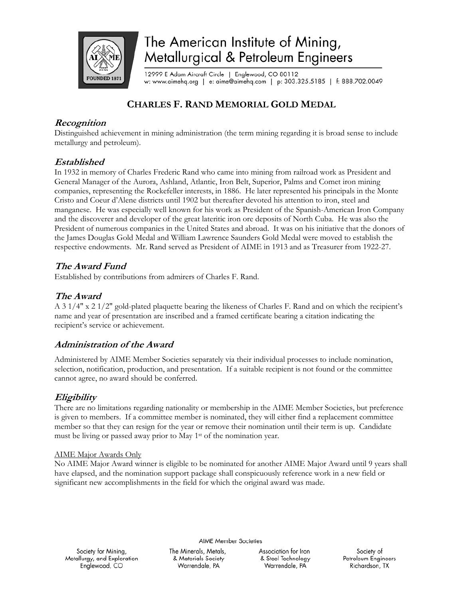

# The American Institute of Mining, Metallurgical & Petroleum Engineers

12999 E Adam Aircraft Circle | Englewood, CO 80112 w: www.aimehq.org | e: aime@aimehq.com | p: 303.325.5185 | f: 888.702.0049

# **CHARLES F. RAND MEMORIAL GOLD MEDAL**

## **Recognition**

Distinguished achievement in mining administration (the term mining regarding it is broad sense to include metallurgy and petroleum).

## **Established**

In 1932 in memory of Charles Frederic Rand who came into mining from railroad work as President and General Manager of the Aurora, Ashland, Atlantic, Iron Belt, Superior, Palms and Comet iron mining companies, representing the Rockefeller interests, in 1886. He later represented his principals in the Monte Cristo and Coeur d'Alene districts until 1902 but thereafter devoted his attention to iron, steel and manganese. He was especially well known for his work as President of the Spanish-American Iron Company and the discoverer and developer of the great lateritic iron ore deposits of North Cuba. He was also the President of numerous companies in the United States and abroad. It was on his initiative that the donors of the James Douglas Gold Medal and William Lawrence Saunders Gold Medal were moved to establish the respective endowments. Mr. Rand served as President of AIME in 1913 and as Treasurer from 1922-27.

# **The Award Fund**

Established by contributions from admirers of Charles F. Rand.

# **The Award**

A 3 1/4" x 2 1/2" gold-plated plaquette bearing the likeness of Charles F. Rand and on which the recipient's name and year of presentation are inscribed and a framed certificate bearing a citation indicating the recipient's service or achievement.

## **Administration of the Award**

Administered by AIME Member Societies separately via their individual processes to include nomination, selection, notification, production, and presentation. If a suitable recipient is not found or the committee cannot agree, no award should be conferred.

## **Eligibility**

There are no limitations regarding nationality or membership in the AIME Member Societies, but preference is given to members. If a committee member is nominated, they will either find a replacement committee member so that they can resign for the year or remove their nomination until their term is up. Candidate must be living or passed away prior to May 1st of the nomination year.

#### AIME Major Awards Only

No AIME Major Award winner is eligible to be nominated for another AIME Major Award until 9 years shall have elapsed, and the nomination support package shall conspicuously reference work in a new field or significant new accomplishments in the field for which the original award was made.

**AIME Member Societies** 

Society for Mining, Metallurgy, and Exploration Englewood, CO

The Minerals, Metals, & Materials Society Warrendale, PA

Association for Iron & Steel Technology Warrendale, PA

Society of Petroleum Engineers Richardson, TX